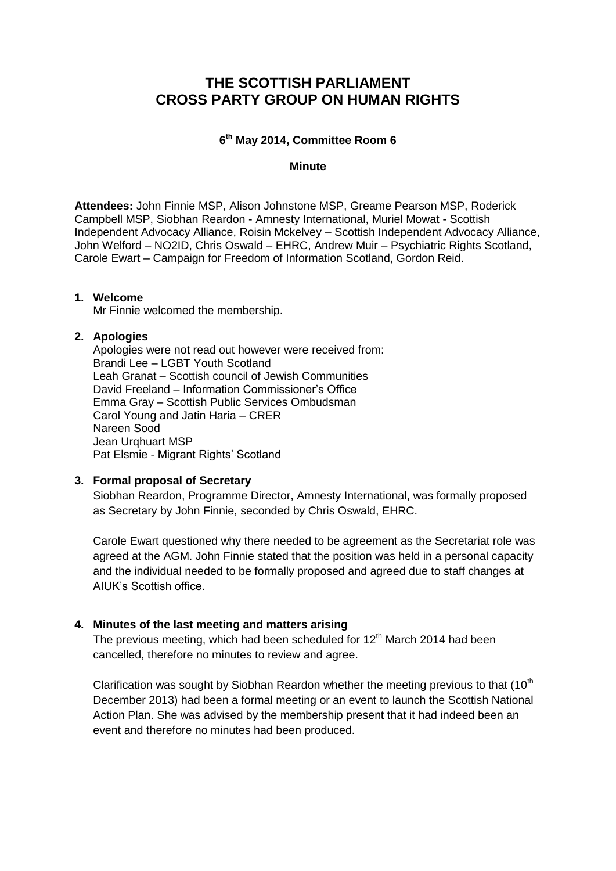# **THE SCOTTISH PARLIAMENT CROSS PARTY GROUP ON HUMAN RIGHTS**

## **6 th May 2014, Committee Room 6**

#### **Minute**

**Attendees:** John Finnie MSP, Alison Johnstone MSP, Greame Pearson MSP, Roderick Campbell MSP, Siobhan Reardon - Amnesty International, Muriel Mowat - Scottish Independent Advocacy Alliance, Roisin Mckelvey – Scottish Independent Advocacy Alliance, John Welford – NO2ID, Chris Oswald – EHRC, Andrew Muir – Psychiatric Rights Scotland, Carole Ewart – Campaign for Freedom of Information Scotland, Gordon Reid.

#### **1. Welcome**

Mr Finnie welcomed the membership.

#### **2. Apologies**

Apologies were not read out however were received from: Brandi Lee – LGBT Youth Scotland Leah Granat – Scottish council of Jewish Communities David Freeland – Information Commissioner's Office Emma Gray – Scottish Public Services Ombudsman Carol Young and Jatin Haria – CRER Nareen Sood Jean Urghuart MSP Pat Elsmie - Migrant Rights' Scotland

## **3. Formal proposal of Secretary**

Siobhan Reardon, Programme Director, Amnesty International, was formally proposed as Secretary by John Finnie, seconded by Chris Oswald, EHRC.

Carole Ewart questioned why there needed to be agreement as the Secretariat role was agreed at the AGM. John Finnie stated that the position was held in a personal capacity and the individual needed to be formally proposed and agreed due to staff changes at AIUK's Scottish office.

#### **4. Minutes of the last meeting and matters arising**

The previous meeting, which had been scheduled for  $12<sup>th</sup>$  March 2014 had been cancelled, therefore no minutes to review and agree.

Clarification was sought by Siobhan Reardon whether the meeting previous to that  $(10<sup>th</sup>)$ December 2013) had been a formal meeting or an event to launch the Scottish National Action Plan. She was advised by the membership present that it had indeed been an event and therefore no minutes had been produced.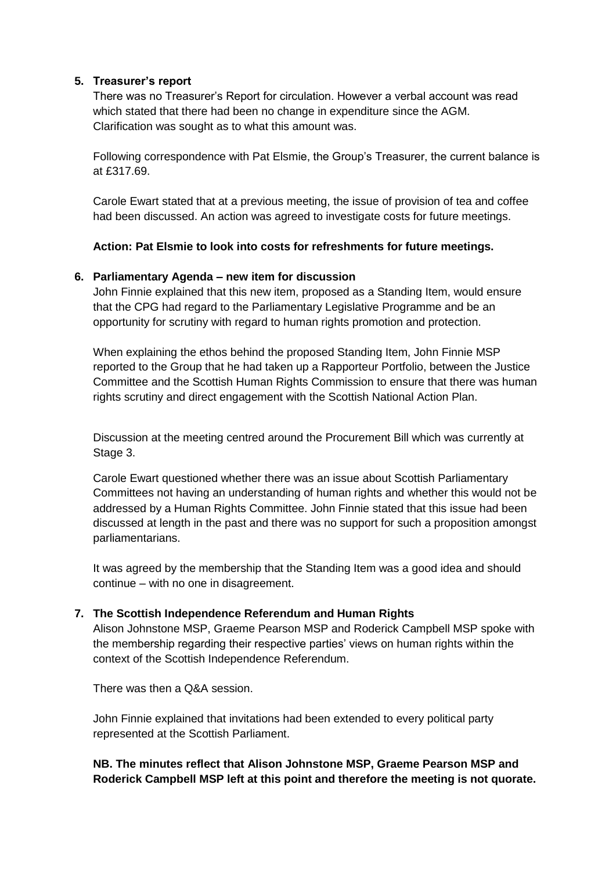## **5. Treasurer's report**

There was no Treasurer's Report for circulation. However a verbal account was read which stated that there had been no change in expenditure since the AGM. Clarification was sought as to what this amount was.

Following correspondence with Pat Elsmie, the Group's Treasurer, the current balance is at £317.69.

Carole Ewart stated that at a previous meeting, the issue of provision of tea and coffee had been discussed. An action was agreed to investigate costs for future meetings.

## **Action: Pat Elsmie to look into costs for refreshments for future meetings.**

#### **6. Parliamentary Agenda – new item for discussion**

John Finnie explained that this new item, proposed as a Standing Item, would ensure that the CPG had regard to the Parliamentary Legislative Programme and be an opportunity for scrutiny with regard to human rights promotion and protection.

When explaining the ethos behind the proposed Standing Item, John Finnie MSP reported to the Group that he had taken up a Rapporteur Portfolio, between the Justice Committee and the Scottish Human Rights Commission to ensure that there was human rights scrutiny and direct engagement with the Scottish National Action Plan.

Discussion at the meeting centred around the Procurement Bill which was currently at Stage 3.

Carole Ewart questioned whether there was an issue about Scottish Parliamentary Committees not having an understanding of human rights and whether this would not be addressed by a Human Rights Committee. John Finnie stated that this issue had been discussed at length in the past and there was no support for such a proposition amongst parliamentarians.

It was agreed by the membership that the Standing Item was a good idea and should continue – with no one in disagreement.

#### **7. The Scottish Independence Referendum and Human Rights**

Alison Johnstone MSP, Graeme Pearson MSP and Roderick Campbell MSP spoke with the membership regarding their respective parties' views on human rights within the context of the Scottish Independence Referendum.

There was then a Q&A session.

John Finnie explained that invitations had been extended to every political party represented at the Scottish Parliament.

## **NB. The minutes reflect that Alison Johnstone MSP, Graeme Pearson MSP and Roderick Campbell MSP left at this point and therefore the meeting is not quorate.**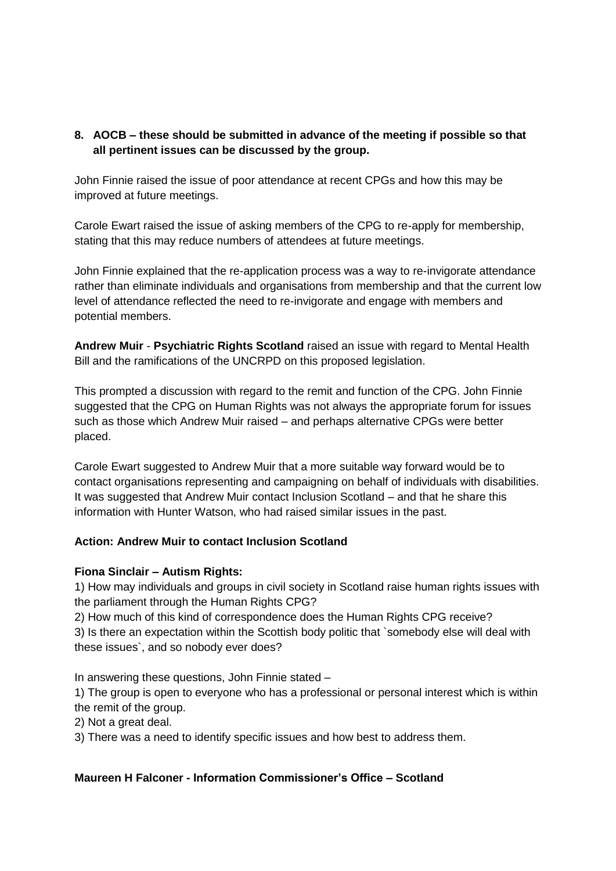# **8. AOCB – these should be submitted in advance of the meeting if possible so that all pertinent issues can be discussed by the group.**

John Finnie raised the issue of poor attendance at recent CPGs and how this may be improved at future meetings.

Carole Ewart raised the issue of asking members of the CPG to re-apply for membership, stating that this may reduce numbers of attendees at future meetings.

John Finnie explained that the re-application process was a way to re-invigorate attendance rather than eliminate individuals and organisations from membership and that the current low level of attendance reflected the need to re-invigorate and engage with members and potential members.

**Andrew Muir** - **Psychiatric Rights Scotland** raised an issue with regard to Mental Health Bill and the ramifications of the UNCRPD on this proposed legislation.

This prompted a discussion with regard to the remit and function of the CPG. John Finnie suggested that the CPG on Human Rights was not always the appropriate forum for issues such as those which Andrew Muir raised – and perhaps alternative CPGs were better placed.

Carole Ewart suggested to Andrew Muir that a more suitable way forward would be to contact organisations representing and campaigning on behalf of individuals with disabilities. It was suggested that Andrew Muir contact Inclusion Scotland – and that he share this information with Hunter Watson, who had raised similar issues in the past.

## **Action: Andrew Muir to contact Inclusion Scotland**

#### **Fiona Sinclair – Autism Rights:**

1) How may individuals and groups in civil society in Scotland raise human rights issues with the parliament through the Human Rights CPG?

2) How much of this kind of correspondence does the Human Rights CPG receive? 3) Is there an expectation within the Scottish body politic that `somebody else will deal with these issues`, and so nobody ever does?

In answering these questions, John Finnie stated –

1) The group is open to everyone who has a professional or personal interest which is within the remit of the group.

2) Not a great deal.

3) There was a need to identify specific issues and how best to address them.

#### **Maureen H Falconer - Information Commissioner's Office – Scotland**